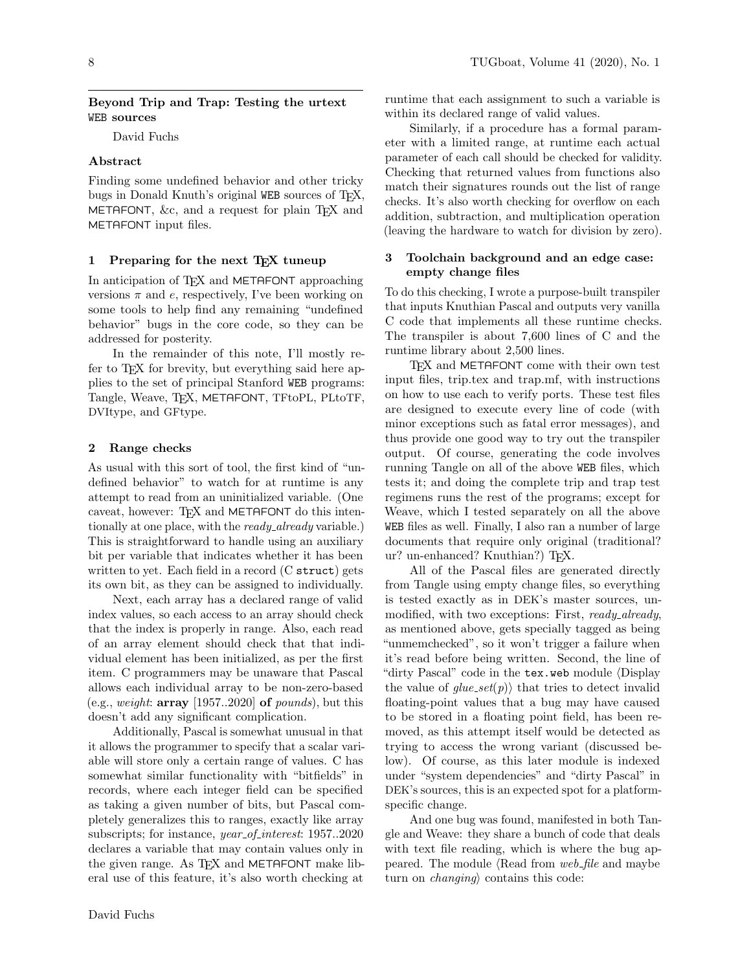## Beyond Trip and Trap: Testing the urtext WEB sources

David Fuchs

## Abstract

Finding some undefined behavior and other tricky bugs in Donald Knuth's original WEB sources of TEX, METAFONT,  $&c$ , and a request for plain T<sub>F</sub>X and METAFONT input files.

## 1 Preparing for the next TEX tuneup

In anticipation of T<sub>EX</sub> and METAFONT approaching versions  $\pi$  and  $e$ , respectively, I've been working on some tools to help find any remaining "undefined behavior" bugs in the core code, so they can be addressed for posterity.

In the remainder of this note, I'll mostly refer to TEX for brevity, but everything said here applies to the set of principal Stanford WEB programs: Tangle, Weave, TEX, METAFONT, TFtoPL, PLtoTF, DVItype, and GFtype.

## 2 Range checks

As usual with this sort of tool, the first kind of "undefined behavior" to watch for at runtime is any attempt to read from an uninitialized variable. (One caveat, however: TEX and METAFONT do this intentionally at one place, with the *ready<sub>-already* variable.)</sub> This is straightforward to handle using an auxiliary bit per variable that indicates whether it has been written to yet. Each field in a record (C struct) gets its own bit, as they can be assigned to individually.

Next, each array has a declared range of valid index values, so each access to an array should check that the index is properly in range. Also, each read of an array element should check that that individual element has been initialized, as per the first item. C programmers may be unaware that Pascal allows each individual array to be non-zero-based (e.g., weight:  $array$  [1957..2020] of pounds), but this doesn't add any significant complication.

Additionally, Pascal is somewhat unusual in that it allows the programmer to specify that a scalar variable will store only a certain range of values. C has somewhat similar functionality with "bitfields" in records, where each integer field can be specified as taking a given number of bits, but Pascal completely generalizes this to ranges, exactly like array subscripts; for instance, *year\_of\_interest*: 1957..2020 declares a variable that may contain values only in the given range. As T<sub>F</sub>X and METAFONT make liberal use of this feature, it's also worth checking at

runtime that each assignment to such a variable is within its declared range of valid values.

Similarly, if a procedure has a formal parameter with a limited range, at runtime each actual parameter of each call should be checked for validity. Checking that returned values from functions also match their signatures rounds out the list of range checks. It's also worth checking for overflow on each addition, subtraction, and multiplication operation (leaving the hardware to watch for division by zero).

## 3 Toolchain background and an edge case: empty change files

To do this checking, I wrote a purpose-built transpiler that inputs Knuthian Pascal and outputs very vanilla C code that implements all these runtime checks. The transpiler is about 7,600 lines of C and the runtime library about 2,500 lines.

TEX and METAFONT come with their own test input files, trip.tex and trap.mf, with instructions on how to use each to verify ports. These test files are designed to execute every line of code (with minor exceptions such as fatal error messages), and thus provide one good way to try out the transpiler output. Of course, generating the code involves running Tangle on all of the above WEB files, which tests it; and doing the complete trip and trap test regimens runs the rest of the programs; except for Weave, which I tested separately on all the above WEB files as well. Finally, I also ran a number of large documents that require only original (traditional? ur? un-enhanced? Knuthian?) TEX.

All of the Pascal files are generated directly from Tangle using empty change files, so everything is tested exactly as in DEK's master sources, unmodified, with two exceptions: First, ready\_already, as mentioned above, gets specially tagged as being "unmemchecked", so it won't trigger a failure when it's read before being written. Second, the line of "dirty Pascal" code in the tex.web module (Display the value of  $glue\_set(p)$  that tries to detect invalid floating-point values that a bug may have caused to be stored in a floating point field, has been removed, as this attempt itself would be detected as trying to access the wrong variant (discussed below). Of course, as this later module is indexed under "system dependencies" and "dirty Pascal" in DEK's sources, this is an expected spot for a platformspecific change.

And one bug was found, manifested in both Tangle and Weave: they share a bunch of code that deals with text file reading, which is where the bug appeared. The module  $\langle$ Read from web file and maybe turn on *changing* contains this code: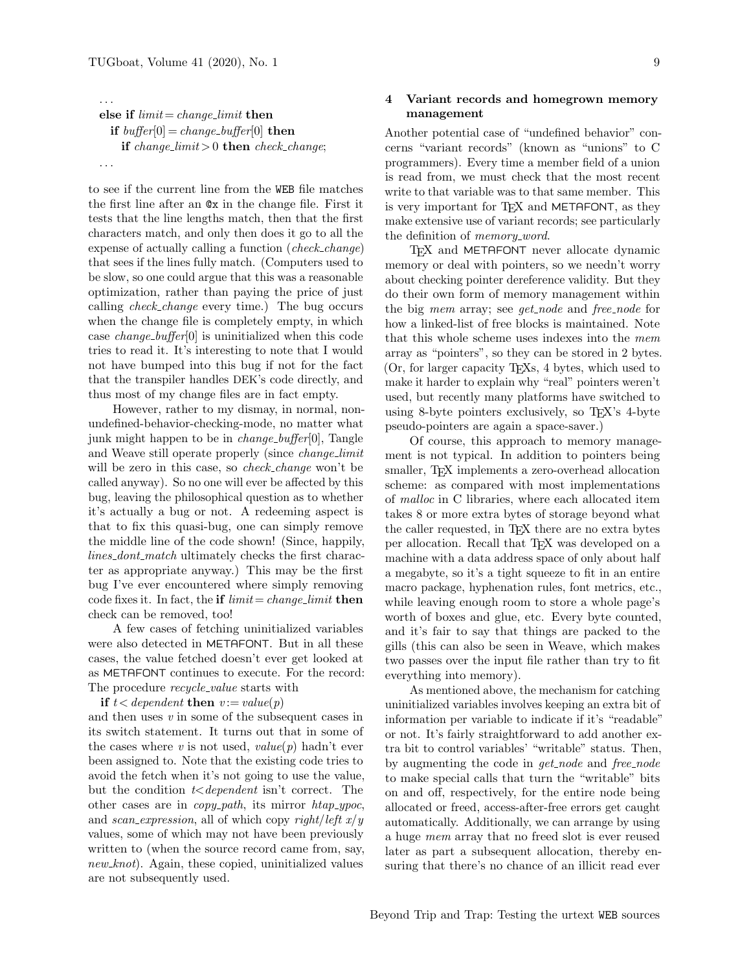. . .

else if limit = change limit then if buffer[0] = change buffer[0] then if change limit > 0 then check change; . . .

to see if the current line from the WEB file matches the first line after an @x in the change file. First it tests that the line lengths match, then that the first characters match, and only then does it go to all the expense of actually calling a function (check change) that sees if the lines fully match. (Computers used to be slow, so one could argue that this was a reasonable optimization, rather than paying the price of just calling check change every time.) The bug occurs when the change file is completely empty, in which case change buffer[0] is uninitialized when this code tries to read it. It's interesting to note that I would not have bumped into this bug if not for the fact that the transpiler handles DEK's code directly, and thus most of my change files are in fact empty.

However, rather to my dismay, in normal, nonundefined-behavior-checking-mode, no matter what junk might happen to be in *change\_buffer*[0], Tangle and Weave still operate properly (since *change\_limit*) will be zero in this case, so *check\_change* won't be called anyway). So no one will ever be affected by this bug, leaving the philosophical question as to whether it's actually a bug or not. A redeeming aspect is that to fix this quasi-bug, one can simply remove the middle line of the code shown! (Since, happily, lines\_dont\_match ultimately checks the first character as appropriate anyway.) This may be the first bug I've ever encountered where simply removing code fixes it. In fact, the if  $limit = change\_limit$  then check can be removed, too!

A few cases of fetching uninitialized variables were also detected in METAFONT. But in all these cases, the value fetched doesn't ever get looked at as METAFONT continues to execute. For the record: The procedure *recycle\_value* starts with

if  $t < dependent$  then  $v := value(p)$ 

and then uses v in some of the subsequent cases in its switch statement. It turns out that in some of the cases where v is not used,  $value(p)$  hadn't ever been assigned to. Note that the existing code tries to avoid the fetch when it's not going to use the value, but the condition  $t$ <dependent isn't correct. The other cases are in *copy\_path*, its mirror  $htap\_ypoc$ , and scan expression, all of which copy right/left  $x/y$ values, some of which may not have been previously written to (when the source record came from, say,  $new\_knot$ ). Again, these copied, uninitialized values are not subsequently used.

# 4 Variant records and homegrown memory management

Another potential case of "undefined behavior" concerns "variant records" (known as "unions" to C programmers). Every time a member field of a union is read from, we must check that the most recent write to that variable was to that same member. This is very important for T<sub>F</sub>X and METAFONT, as they make extensive use of variant records; see particularly the definition of *memory\_word*.

T<sub>EX</sub> and METAFONT never allocate dynamic memory or deal with pointers, so we needn't worry about checking pointer dereference validity. But they do their own form of memory management within the big mem array; see get\_node and free\_node for how a linked-list of free blocks is maintained. Note that this whole scheme uses indexes into the mem array as "pointers", so they can be stored in 2 bytes. (Or, for larger capacity TEXs, 4 bytes, which used to make it harder to explain why "real" pointers weren't used, but recently many platforms have switched to using 8-byte pointers exclusively, so T<sub>E</sub>X's 4-byte pseudo-pointers are again a space-saver.)

Of course, this approach to memory management is not typical. In addition to pointers being smaller, TEX implements a zero-overhead allocation scheme: as compared with most implementations of malloc in C libraries, where each allocated item takes 8 or more extra bytes of storage beyond what the caller requested, in TEX there are no extra bytes per allocation. Recall that TEX was developed on a machine with a data address space of only about half a megabyte, so it's a tight squeeze to fit in an entire macro package, hyphenation rules, font metrics, etc., while leaving enough room to store a whole page's worth of boxes and glue, etc. Every byte counted, and it's fair to say that things are packed to the gills (this can also be seen in Weave, which makes two passes over the input file rather than try to fit everything into memory).

As mentioned above, the mechanism for catching uninitialized variables involves keeping an extra bit of information per variable to indicate if it's "readable" or not. It's fairly straightforward to add another extra bit to control variables' "writable" status. Then, by augmenting the code in *get\_node* and *free\_node* to make special calls that turn the "writable" bits on and off, respectively, for the entire node being allocated or freed, access-after-free errors get caught automatically. Additionally, we can arrange by using a huge mem array that no freed slot is ever reused later as part a subsequent allocation, thereby ensuring that there's no chance of an illicit read ever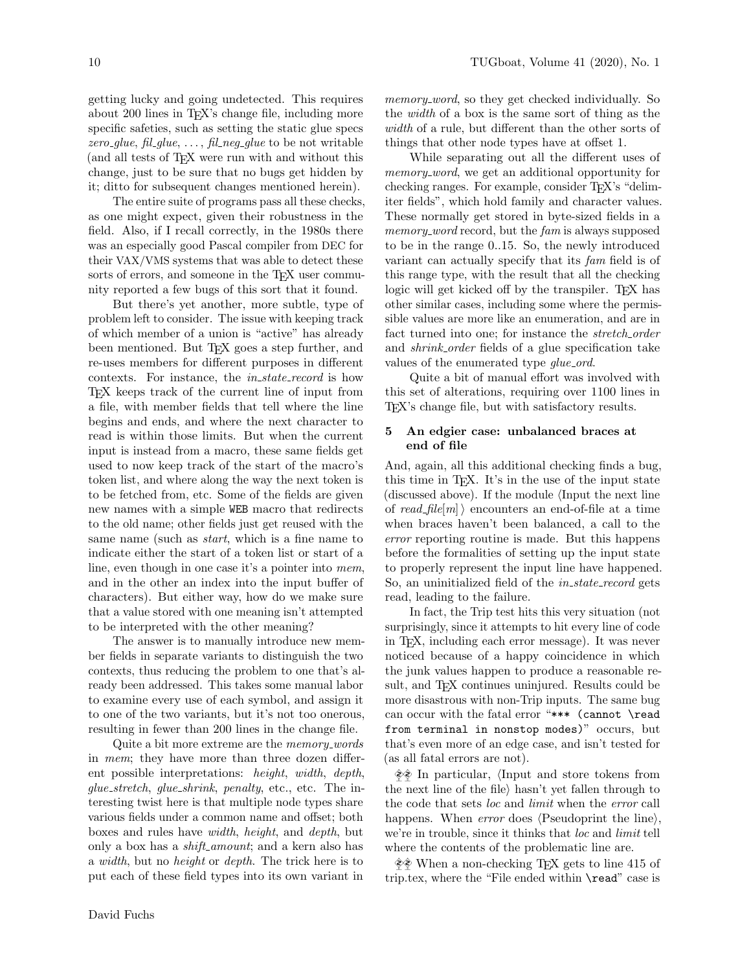getting lucky and going undetected. This requires about 200 lines in T<sub>E</sub>X's change file, including more specific safeties, such as setting the static glue specs zero-glue, fil-glue,  $\dots$ , fil-neg-glue to be not writable (and all tests of TEX were run with and without this change, just to be sure that no bugs get hidden by it; ditto for subsequent changes mentioned herein).

The entire suite of programs pass all these checks, as one might expect, given their robustness in the field. Also, if I recall correctly, in the 1980s there was an especially good Pascal compiler from DEC for their VAX/VMS systems that was able to detect these sorts of errors, and someone in the T<sub>E</sub>X user community reported a few bugs of this sort that it found.

But there's yet another, more subtle, type of problem left to consider. The issue with keeping track of which member of a union is "active" has already been mentioned. But T<sub>E</sub>X goes a step further, and re-uses members for different purposes in different contexts. For instance, the *in\_state\_record* is how TEX keeps track of the current line of input from a file, with member fields that tell where the line begins and ends, and where the next character to read is within those limits. But when the current input is instead from a macro, these same fields get used to now keep track of the start of the macro's token list, and where along the way the next token is to be fetched from, etc. Some of the fields are given new names with a simple WEB macro that redirects to the old name; other fields just get reused with the same name (such as start, which is a fine name to indicate either the start of a token list or start of a line, even though in one case it's a pointer into mem, and in the other an index into the input buffer of characters). But either way, how do we make sure that a value stored with one meaning isn't attempted to be interpreted with the other meaning?

The answer is to manually introduce new member fields in separate variants to distinguish the two contexts, thus reducing the problem to one that's already been addressed. This takes some manual labor to examine every use of each symbol, and assign it to one of the two variants, but it's not too onerous, resulting in fewer than 200 lines in the change file.

Quite a bit more extreme are the *memory\_words* in mem; they have more than three dozen different possible interpretations: height, width, depth, glue stretch, glue shrink, penalty, etc., etc. The interesting twist here is that multiple node types share various fields under a common name and offset; both boxes and rules have width, height, and depth, but only a box has a *shift\_amount*; and a kern also has a width, but no height or depth. The trick here is to put each of these field types into its own variant in

memory\_word, so they get checked individually. So the width of a box is the same sort of thing as the width of a rule, but different than the other sorts of things that other node types have at offset 1.

While separating out all the different uses of memory word, we get an additional opportunity for checking ranges. For example, consider T<sub>F</sub>X's "delimiter fields", which hold family and character values. These normally get stored in byte-sized fields in a memory\_word record, but the fam is always supposed to be in the range 0..15. So, the newly introduced variant can actually specify that its fam field is of this range type, with the result that all the checking logic will get kicked off by the transpiler. TEX has other similar cases, including some where the permissible values are more like an enumeration, and are in fact turned into one; for instance the *stretch\_order* and shrink order fields of a glue specification take values of the enumerated type *glue\_ord*.

Quite a bit of manual effort was involved with this set of alterations, requiring over 1100 lines in TEX's change file, but with satisfactory results.

## 5 An edgier case: unbalanced braces at end of file

And, again, all this additional checking finds a bug, this time in TEX. It's in the use of the input state  $(discussed above)$ . If the module  $\langle Input\ the\ next\ line$ of read-file  $|m\rangle$  encounters an end-of-file at a time when braces haven't been balanced, a call to the error reporting routine is made. But this happens before the formalities of setting up the input state to properly represent the input line have happened. So, an uninitialized field of the *in\_state\_record* gets read, leading to the failure.

In fact, the Trip test hits this very situation (not surprisingly, since it attempts to hit every line of code in TEX, including each error message). It was never noticed because of a happy coincidence in which the junk values happen to produce a reasonable result, and T<sub>E</sub>X continues uninjured. Results could be more disastrous with non-Trip inputs. The same bug can occur with the fatal error "\*\*\* (cannot \read from terminal in nonstop modes)" occurs, but that's even more of an edge case, and isn't tested for (as all fatal errors are not).

 $\diamondsuit$  In particular, (Input and store tokens from the next line of the file hasn't yet fallen through to the code that sets loc and limit when the error call happens. When *error* does (Pseudoprint the line). we're in trouble, since it thinks that *loc* and *limit* tell where the contents of the problematic line are.

 $\Diamond$  When a non-checking T<sub>EX</sub> gets to line 415 of trip.tex, where the "File ended within **\read**" case is